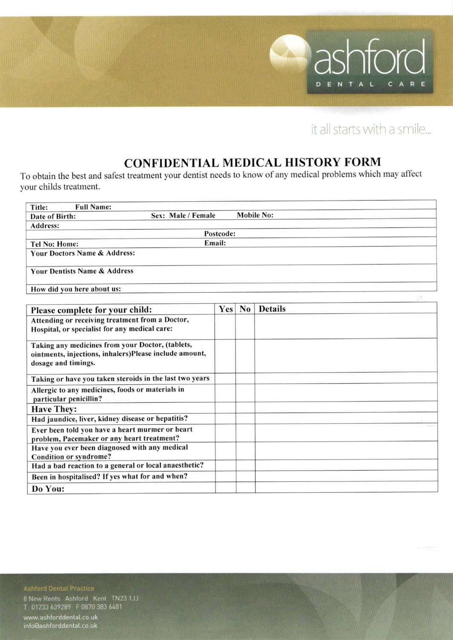

# it all starts with a smile...

### **CONFIDENTIAL MEDICAL HISTORY FORM**

To obtain the best and safest treatment your dentist needs to know of any medical problems which may affect your childs treatment.

| <b>Full Name:</b><br>Title:                                                |     |    |                   |  |  |
|----------------------------------------------------------------------------|-----|----|-------------------|--|--|
| Sex: Male / Female<br>Date of Birth:                                       |     |    | <b>Mobile No:</b> |  |  |
| Address:                                                                   |     |    |                   |  |  |
| Postcode:                                                                  |     |    |                   |  |  |
| Email:<br><b>Tel No: Home:</b>                                             |     |    |                   |  |  |
| Your Doctors Name & Address:                                               |     |    |                   |  |  |
| <b>Your Dentists Name &amp; Address</b>                                    |     |    |                   |  |  |
| How did you here about us:                                                 |     |    |                   |  |  |
|                                                                            |     |    |                   |  |  |
| Please complete for your child:                                            | Yes | No | <b>Details</b>    |  |  |
| Attending or receiving treatment from a Doctor,                            |     |    |                   |  |  |
| Hospital, or specialist for any medical care:                              |     |    |                   |  |  |
| Taking any medicines from your Doctor, (tablets,                           |     |    |                   |  |  |
| ointments, injections, inhalers)Please include amount,                     |     |    |                   |  |  |
| dosage and timings.                                                        |     |    |                   |  |  |
| Taking or have you taken steroids in the last two years                    |     |    |                   |  |  |
| Allergic to any medicines, foods or materials in<br>particular penicillin? |     |    |                   |  |  |
| <b>Have They:</b>                                                          |     |    |                   |  |  |
| Had jaundice, liver, kidney disease or hepatitis?                          |     |    |                   |  |  |
| Ever been told you have a heart murmer or heart                            |     |    |                   |  |  |
| problem, Pacemaker or any heart treatment?                                 |     |    |                   |  |  |
| Have you ever been diagnosed with any medical                              |     |    |                   |  |  |
| Condition or syndrome?                                                     |     |    |                   |  |  |
| Had a bad reaction to a general or local anaesthetic?                      |     |    |                   |  |  |
| Been in hospitalised? If yes what for and when?                            |     |    |                   |  |  |
| Do You:                                                                    |     |    |                   |  |  |

### **Ashford Dental Practice**

8 New Rents Ashford Kent TN23 1JJ<br>T 01233 639289 F 0870 383 6481

www.ashforddental.co.uk info@ashforddental.co.uk